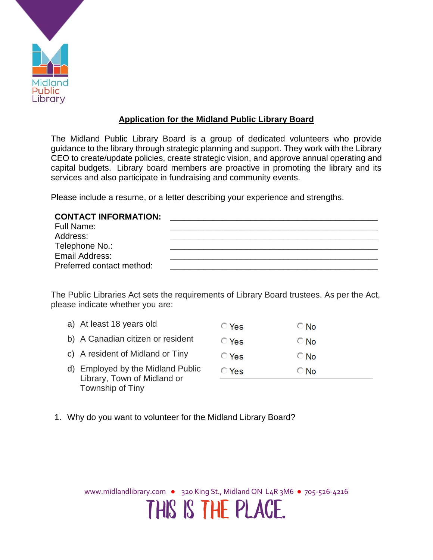

## **Application for the Midland Public Library Board**

The Midland Public Library Board is a group of dedicated volunteers who provide guidance to the library through strategic planning and support. They work with the Library CEO to create/update policies, create strategic vision, and approve annual operating and capital budgets. Library board members are proactive in promoting the library and its services and also participate in fundraising and community events.

Please include a resume, or a letter describing your experience and strengths.

## **CONTACT INFORMATION: \_\_\_\_\_\_\_\_\_\_\_\_\_\_\_\_\_\_\_\_\_\_\_\_\_\_\_\_\_\_\_\_\_\_\_\_\_\_\_\_\_\_\_\_**

| Full Name:                |  |
|---------------------------|--|
| Address:                  |  |
| Telephone No.:            |  |
| Email Address:            |  |
| Preferred contact method: |  |

The Public Libraries Act sets the requirements of Library Board trustees. As per the Act, please indicate whether you are:

- a) At least 18 years old ◯ Yes  $\bigcirc$  No
- b) A Canadian citizen or resident ◯ Yes  $\bigcirc$  No
- c) A resident of Midland or Tiny **O** Yes  $\bigcirc$  No
- d) Employed by the Midland Public  $\bigcirc$  Yes ⊙ No Library, Town of Midland or Township of Tiny
- 1. Why do you want to volunteer for the Midland Library Board?

www.midlandlibrary.com • 320 King St., Midland ON L4R 3M6 • 705-526-4216

THIS IS THE PLACE.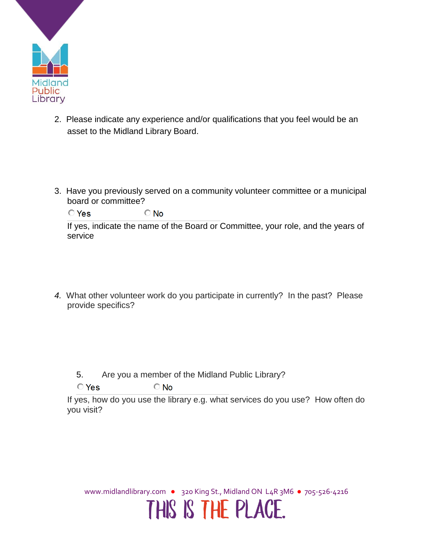

- 2. Please indicate any experience and/or qualifications that you feel would be an asset to the Midland Library Board.
- 3. Have you previously served on a community volunteer committee or a municipal board or committee?

 $\bigcirc$  No  $O$  Yes

If yes, indicate the name of the Board or Committee, your role, and the years of service

*4.* What other volunteer work do you participate in currently? In the past? Please provide specifics?

5. Are you a member of the Midland Public Library?

 $\bigcirc$  No  $\bigcirc$  Yes

If yes, how do you use the library e.g. what services do you use? How often do you visit?

www.midlandlibrary.com • 320 King St., Midland ON L4R 3M6 • 705-526-4216

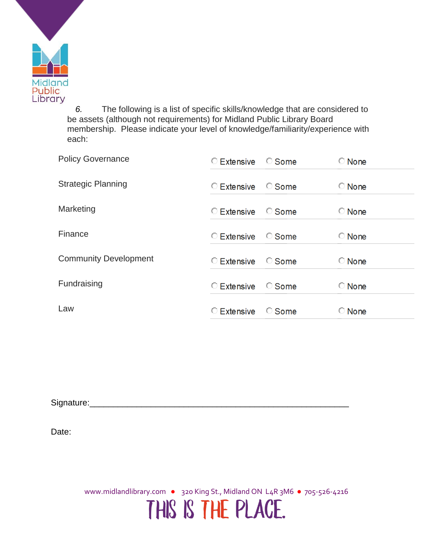

*6.* The following is a list of specific skills/knowledge that are considered to be assets (although not requirements) for Midland Public Library Board membership. Please indicate your level of knowledge/familiarity/experience with each:

| <b>Policy Governance</b>     | C Extensive C Some |              | <b>None</b>  |
|------------------------------|--------------------|--------------|--------------|
| <b>Strategic Planning</b>    | $\circ$ Extensive  | C Some       | $\circ$ None |
| Marketing                    | $\circ$ Extensive  | $\circ$ Some | $\circ$ None |
| Finance                      | $\circ$ Extensive  | $\circ$ Some | $\circ$ None |
| <b>Community Development</b> | $\circ$ Extensive  | C Some       | $\circ$ None |
| Fundraising                  | $\circ$ Extensive  | $\circ$ Some | $\circ$ None |
| Law                          | $\circ$ Extensive  | C Some       | $\circ$ None |

Signature:

Date:

www.midlandlibrary.com • 320 King St., Midland ON L4R 3M6 • 705-526-4216 THIS IS THE PLACE.